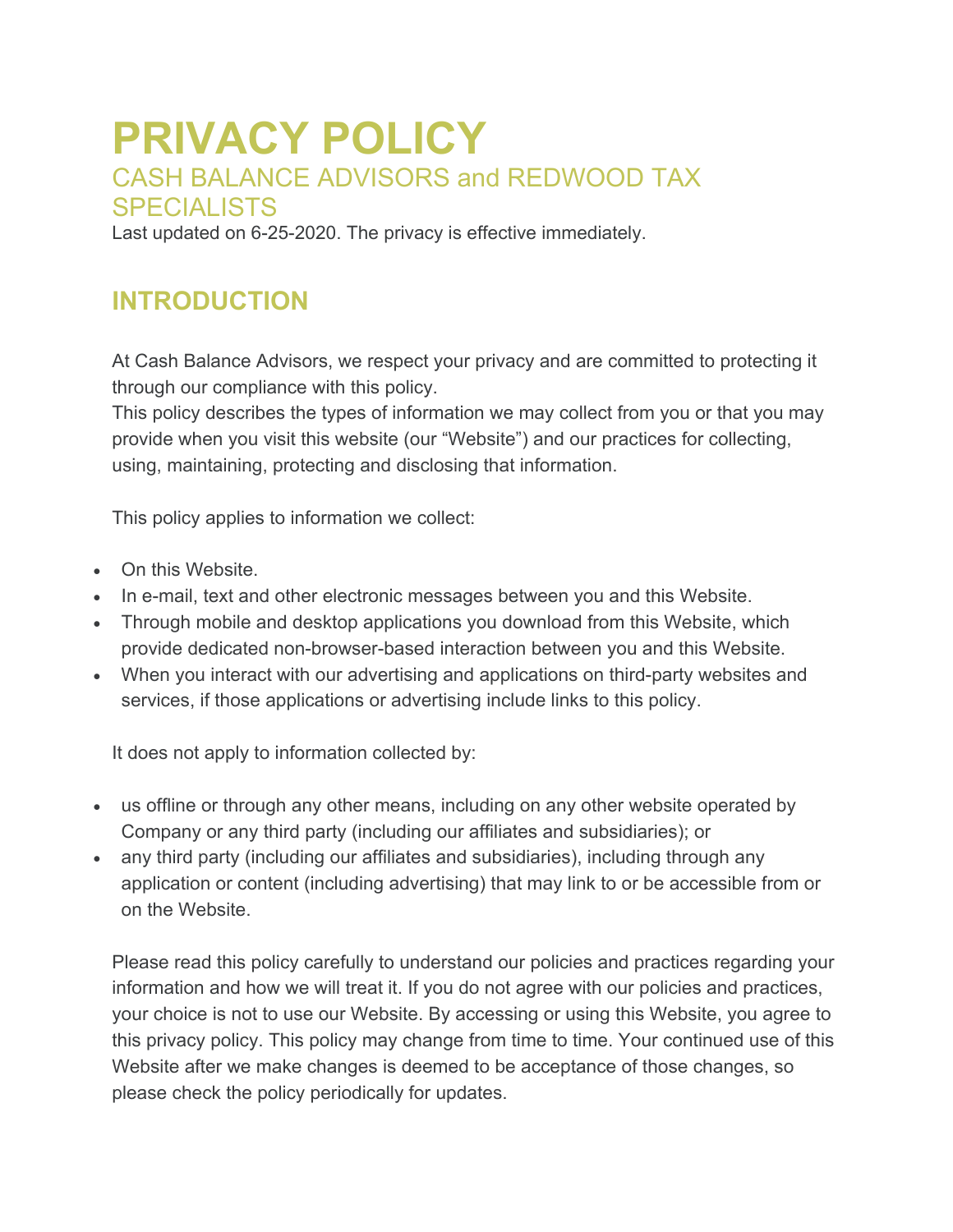# **PRIVACY POLICY** CASH BALANCE ADVISORS and REDWOOD TAX SPECIALISTS

Last updated on 6-25-2020. The privacy is effective immediately.

## **INTRODUCTION**

At Cash Balance Advisors, we respect your privacy and are committed to protecting it through our compliance with this policy.

This policy describes the types of information we may collect from you or that you may provide when you visit this website (our "Website") and our practices for collecting, using, maintaining, protecting and disclosing that information.

This policy applies to information we collect:

- On this Website.
- In e-mail, text and other electronic messages between you and this Website.
- Through mobile and desktop applications you download from this Website, which provide dedicated non-browser-based interaction between you and this Website.
- When you interact with our advertising and applications on third-party websites and services, if those applications or advertising include links to this policy.

It does not apply to information collected by:

- us offline or through any other means, including on any other website operated by Company or any third party (including our affiliates and subsidiaries); or
- any third party (including our affiliates and subsidiaries), including through any application or content (including advertising) that may link to or be accessible from or on the Website.

Please read this policy carefully to understand our policies and practices regarding your information and how we will treat it. If you do not agree with our policies and practices, your choice is not to use our Website. By accessing or using this Website, you agree to this privacy policy. This policy may change from time to time. Your continued use of this Website after we make changes is deemed to be acceptance of those changes, so please check the policy periodically for updates.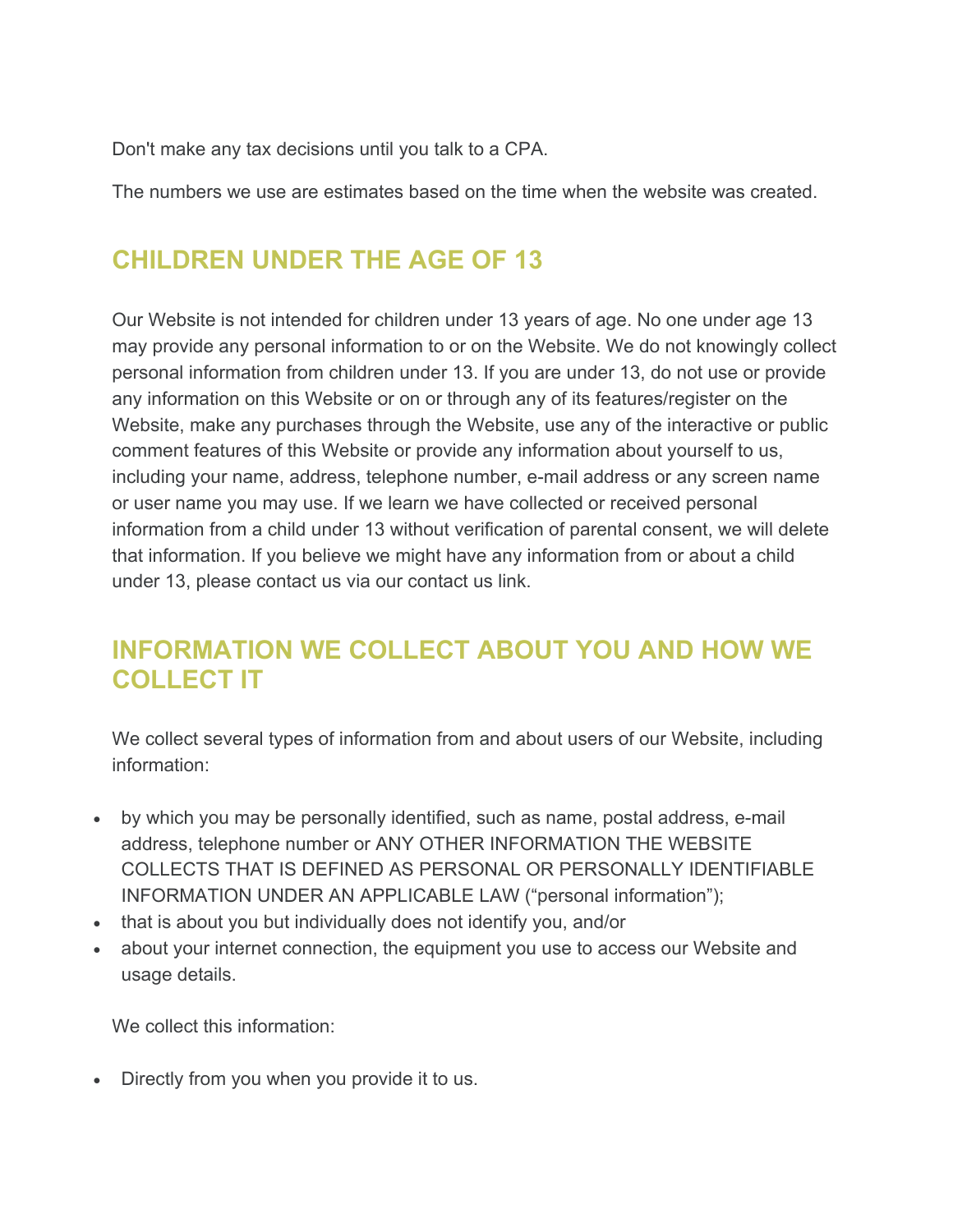Don't make any tax decisions until you talk to a CPA.

The numbers we use are estimates based on the time when the website was created.

# **CHILDREN UNDER THE AGE OF 13**

Our Website is not intended for children under 13 years of age. No one under age 13 may provide any personal information to or on the Website. We do not knowingly collect personal information from children under 13. If you are under 13, do not use or provide any information on this Website or on or through any of its features/register on the Website, make any purchases through the Website, use any of the interactive or public comment features of this Website or provide any information about yourself to us, including your name, address, telephone number, e-mail address or any screen name or user name you may use. If we learn we have collected or received personal information from a child under 13 without verification of parental consent, we will delete that information. If you believe we might have any information from or about a child under 13, please contact us via our contact us link.

## **INFORMATION WE COLLECT ABOUT YOU AND HOW WE COLLECT IT**

We collect several types of information from and about users of our Website, including information:

- by which you may be personally identified, such as name, postal address, e-mail address, telephone number or ANY OTHER INFORMATION THE WEBSITE COLLECTS THAT IS DEFINED AS PERSONAL OR PERSONALLY IDENTIFIABLE INFORMATION UNDER AN APPLICABLE LAW ("personal information");
- that is about you but individually does not identify you, and/or
- about your internet connection, the equipment you use to access our Website and usage details.

We collect this information:

• Directly from you when you provide it to us.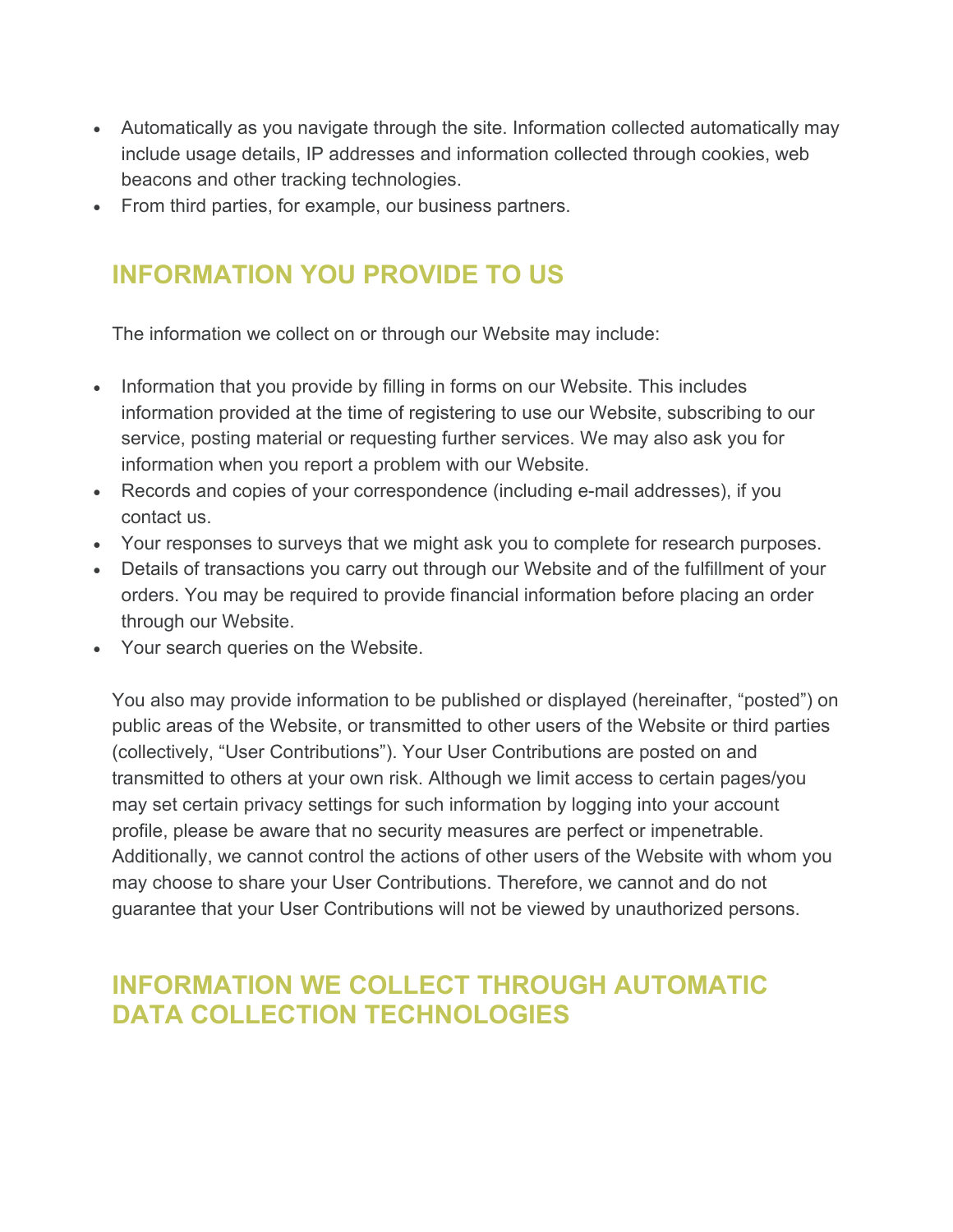- Automatically as you navigate through the site. Information collected automatically may include usage details, IP addresses and information collected through cookies, web beacons and other tracking technologies.
- From third parties, for example, our business partners.

# **INFORMATION YOU PROVIDE TO US**

The information we collect on or through our Website may include:

- Information that you provide by filling in forms on our Website. This includes information provided at the time of registering to use our Website, subscribing to our service, posting material or requesting further services. We may also ask you for information when you report a problem with our Website.
- Records and copies of your correspondence (including e-mail addresses), if you contact us.
- Your responses to surveys that we might ask you to complete for research purposes.
- Details of transactions you carry out through our Website and of the fulfillment of your orders. You may be required to provide financial information before placing an order through our Website.
- Your search queries on the Website.

You also may provide information to be published or displayed (hereinafter, "posted") on public areas of the Website, or transmitted to other users of the Website or third parties (collectively, "User Contributions"). Your User Contributions are posted on and transmitted to others at your own risk. Although we limit access to certain pages/you may set certain privacy settings for such information by logging into your account profile, please be aware that no security measures are perfect or impenetrable. Additionally, we cannot control the actions of other users of the Website with whom you may choose to share your User Contributions. Therefore, we cannot and do not guarantee that your User Contributions will not be viewed by unauthorized persons.

## **INFORMATION WE COLLECT THROUGH AUTOMATIC DATA COLLECTION TECHNOLOGIES**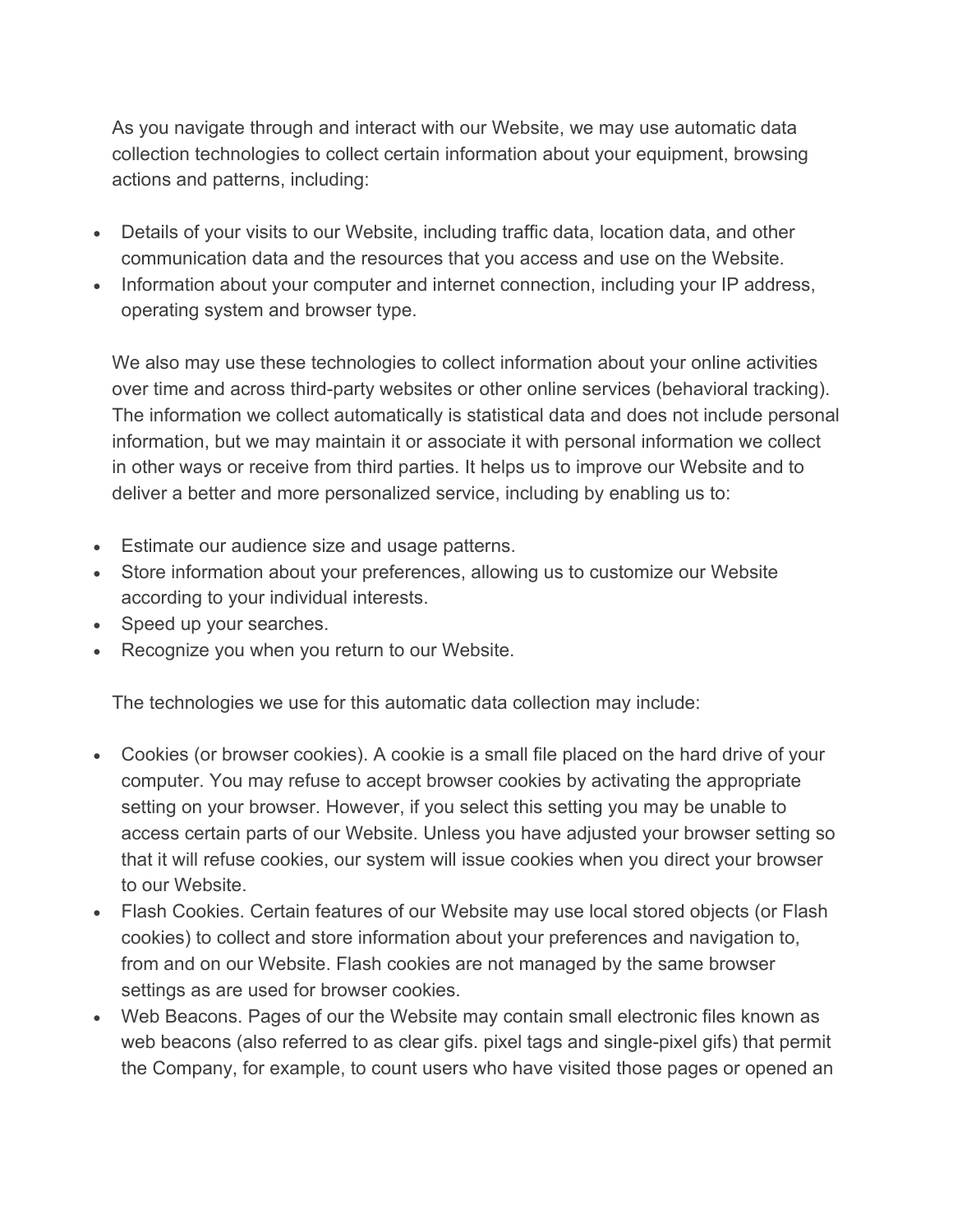As you navigate through and interact with our Website, we may use automatic data collection technologies to collect certain information about your equipment, browsing actions and patterns, including:

- Details of your visits to our Website, including traffic data, location data, and other communication data and the resources that you access and use on the Website.
- Information about your computer and internet connection, including your IP address, operating system and browser type.

We also may use these technologies to collect information about your online activities over time and across third-party websites or other online services (behavioral tracking). The information we collect automatically is statistical data and does not include personal information, but we may maintain it or associate it with personal information we collect in other ways or receive from third parties. It helps us to improve our Website and to deliver a better and more personalized service, including by enabling us to:

- Estimate our audience size and usage patterns.
- Store information about your preferences, allowing us to customize our Website according to your individual interests.
- Speed up your searches.
- Recognize you when you return to our Website.

The technologies we use for this automatic data collection may include:

- Cookies (or browser cookies). A cookie is a small file placed on the hard drive of your computer. You may refuse to accept browser cookies by activating the appropriate setting on your browser. However, if you select this setting you may be unable to access certain parts of our Website. Unless you have adjusted your browser setting so that it will refuse cookies, our system will issue cookies when you direct your browser to our Website.
- Flash Cookies. Certain features of our Website may use local stored objects (or Flash cookies) to collect and store information about your preferences and navigation to, from and on our Website. Flash cookies are not managed by the same browser settings as are used for browser cookies.
- Web Beacons. Pages of our the Website may contain small electronic files known as web beacons (also referred to as clear gifs. pixel tags and single-pixel gifs) that permit the Company, for example, to count users who have visited those pages or opened an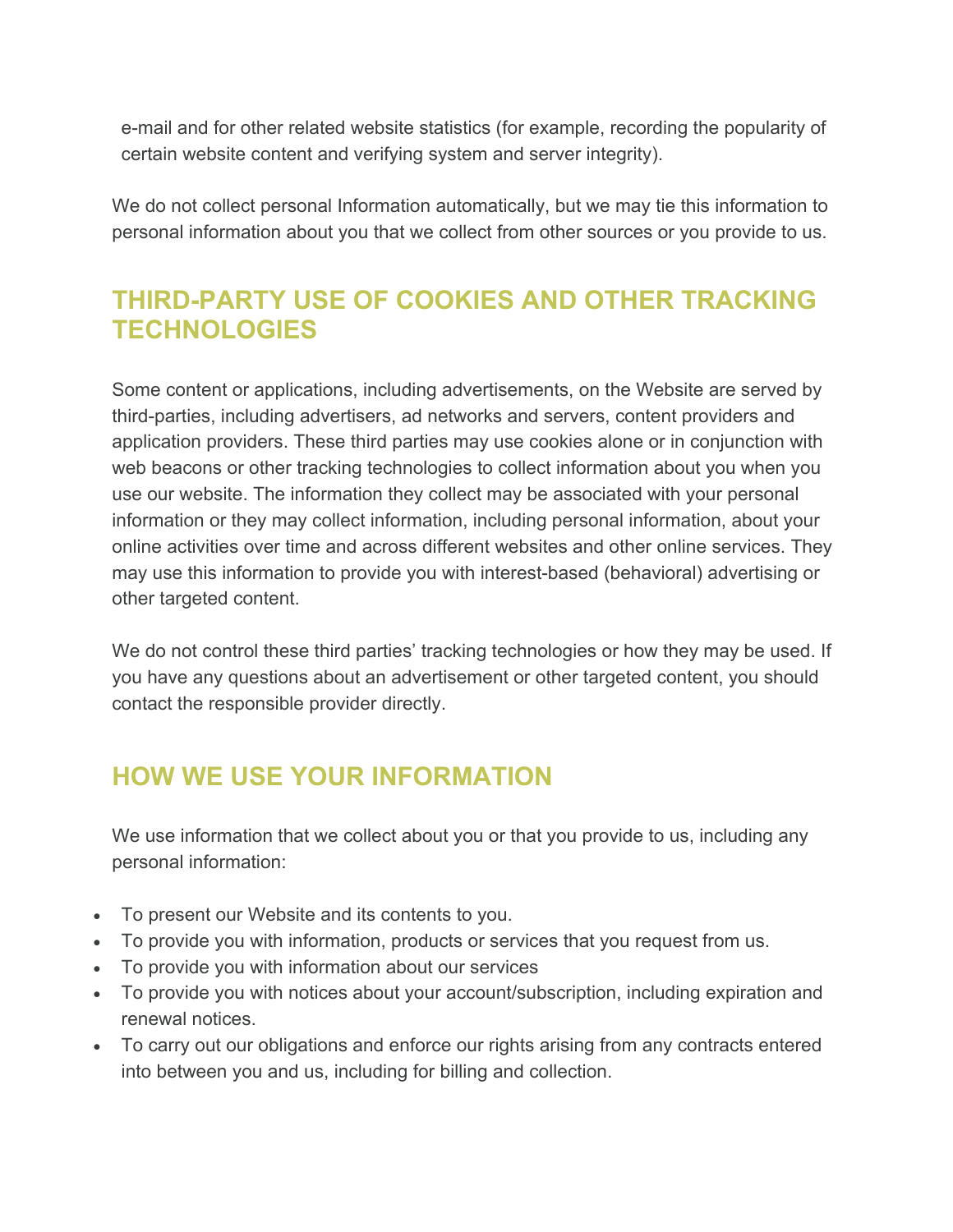e-mail and for other related website statistics (for example, recording the popularity of certain website content and verifying system and server integrity).

We do not collect personal Information automatically, but we may tie this information to personal information about you that we collect from other sources or you provide to us.

# **THIRD-PARTY USE OF COOKIES AND OTHER TRACKING TECHNOLOGIES**

Some content or applications, including advertisements, on the Website are served by third-parties, including advertisers, ad networks and servers, content providers and application providers. These third parties may use cookies alone or in conjunction with web beacons or other tracking technologies to collect information about you when you use our website. The information they collect may be associated with your personal information or they may collect information, including personal information, about your online activities over time and across different websites and other online services. They may use this information to provide you with interest-based (behavioral) advertising or other targeted content.

We do not control these third parties' tracking technologies or how they may be used. If you have any questions about an advertisement or other targeted content, you should contact the responsible provider directly.

## **HOW WE USE YOUR INFORMATION**

We use information that we collect about you or that you provide to us, including any personal information:

- To present our Website and its contents to you.
- To provide you with information, products or services that you request from us.
- To provide you with information about our services
- To provide you with notices about your account/subscription, including expiration and renewal notices.
- To carry out our obligations and enforce our rights arising from any contracts entered into between you and us, including for billing and collection.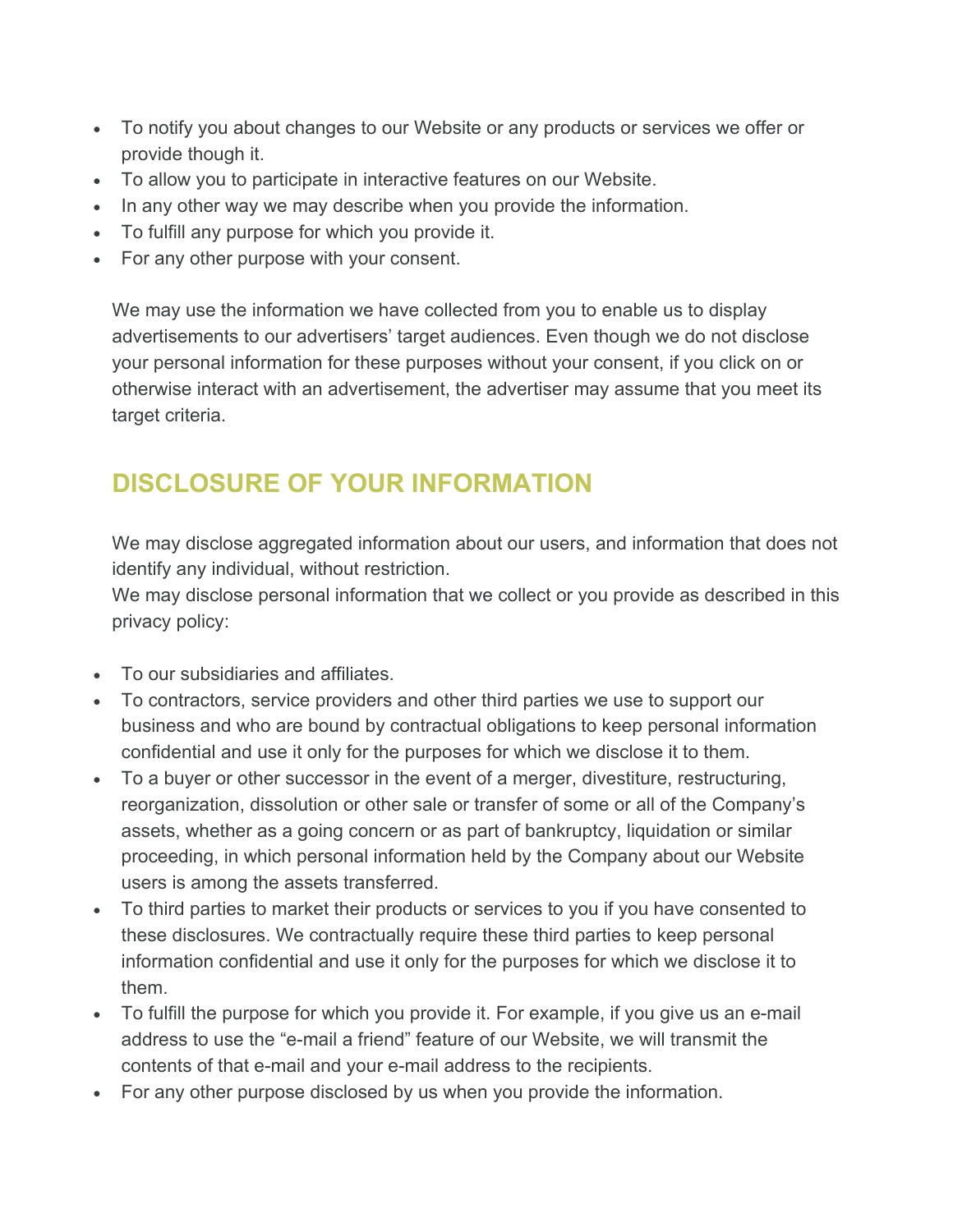- To notify you about changes to our Website or any products or services we offer or provide though it.
- To allow you to participate in interactive features on our Website.
- In any other way we may describe when you provide the information.
- To fulfill any purpose for which you provide it.
- For any other purpose with your consent.

We may use the information we have collected from you to enable us to display advertisements to our advertisers' target audiences. Even though we do not disclose your personal information for these purposes without your consent, if you click on or otherwise interact with an advertisement, the advertiser may assume that you meet its target criteria.

# **DISCLOSURE OF YOUR INFORMATION**

We may disclose aggregated information about our users, and information that does not identify any individual, without restriction.

We may disclose personal information that we collect or you provide as described in this privacy policy:

- To our subsidiaries and affiliates.
- To contractors, service providers and other third parties we use to support our business and who are bound by contractual obligations to keep personal information confidential and use it only for the purposes for which we disclose it to them.
- To a buyer or other successor in the event of a merger, divestiture, restructuring, reorganization, dissolution or other sale or transfer of some or all of the Company's assets, whether as a going concern or as part of bankruptcy, liquidation or similar proceeding, in which personal information held by the Company about our Website users is among the assets transferred.
- To third parties to market their products or services to you if you have consented to these disclosures. We contractually require these third parties to keep personal information confidential and use it only for the purposes for which we disclose it to them.
- To fulfill the purpose for which you provide it. For example, if you give us an e-mail address to use the "e-mail a friend" feature of our Website, we will transmit the contents of that e-mail and your e-mail address to the recipients.
- For any other purpose disclosed by us when you provide the information.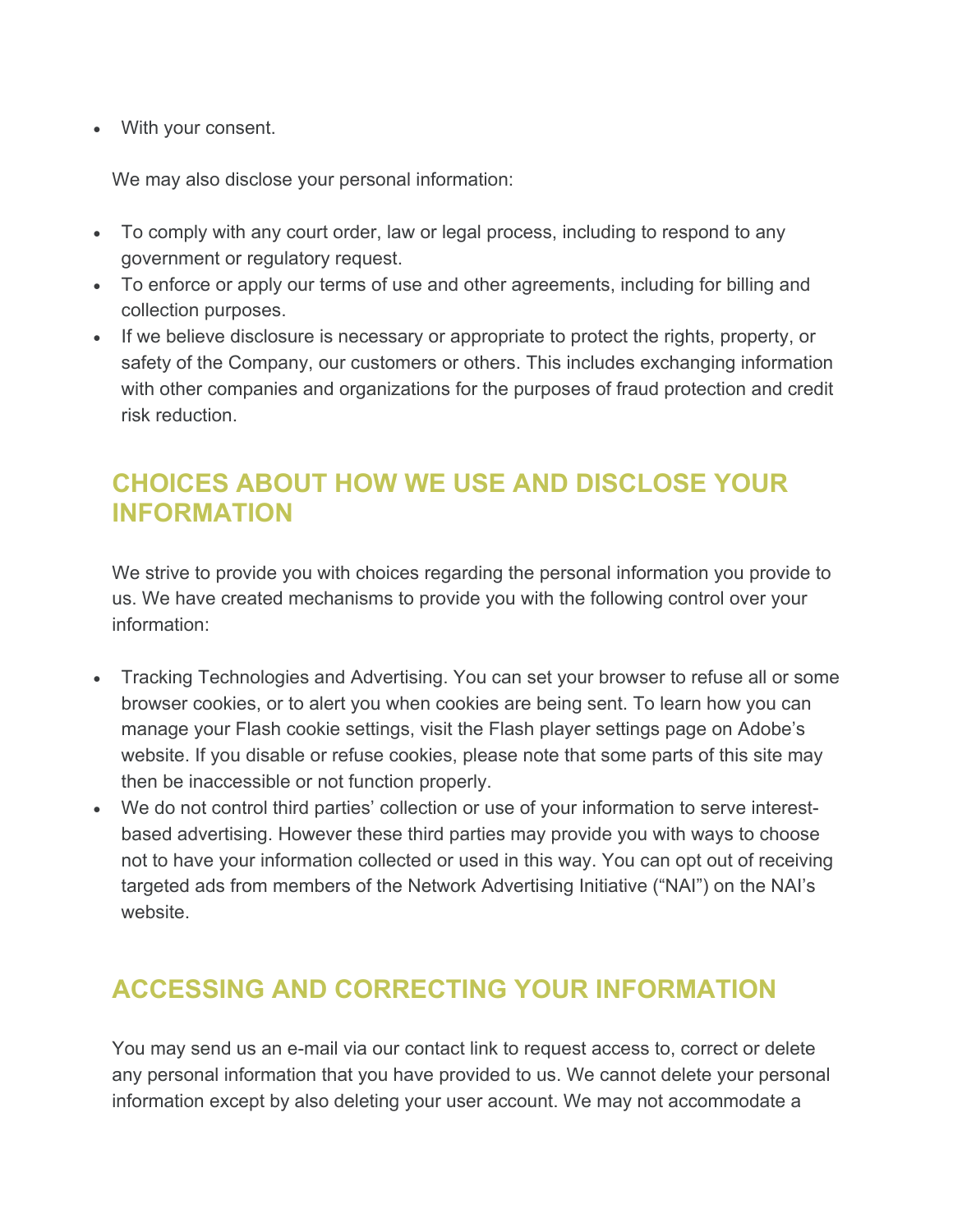• With your consent.

We may also disclose your personal information:

- To comply with any court order, law or legal process, including to respond to any government or regulatory request.
- To enforce or apply our terms of use and other agreements, including for billing and collection purposes.
- If we believe disclosure is necessary or appropriate to protect the rights, property, or safety of the Company, our customers or others. This includes exchanging information with other companies and organizations for the purposes of fraud protection and credit risk reduction.

# **CHOICES ABOUT HOW WE USE AND DISCLOSE YOUR INFORMATION**

We strive to provide you with choices regarding the personal information you provide to us. We have created mechanisms to provide you with the following control over your information:

- Tracking Technologies and Advertising. You can set your browser to refuse all or some browser cookies, or to alert you when cookies are being sent. To learn how you can manage your Flash cookie settings, visit the Flash player settings page on Adobe's website. If you disable or refuse cookies, please note that some parts of this site may then be inaccessible or not function properly.
- We do not control third parties' collection or use of your information to serve interestbased advertising. However these third parties may provide you with ways to choose not to have your information collected or used in this way. You can opt out of receiving targeted ads from members of the Network Advertising Initiative ("NAI") on the NAI's website.

# **ACCESSING AND CORRECTING YOUR INFORMATION**

You may send us an e-mail via our contact link to request access to, correct or delete any personal information that you have provided to us. We cannot delete your personal information except by also deleting your user account. We may not accommodate a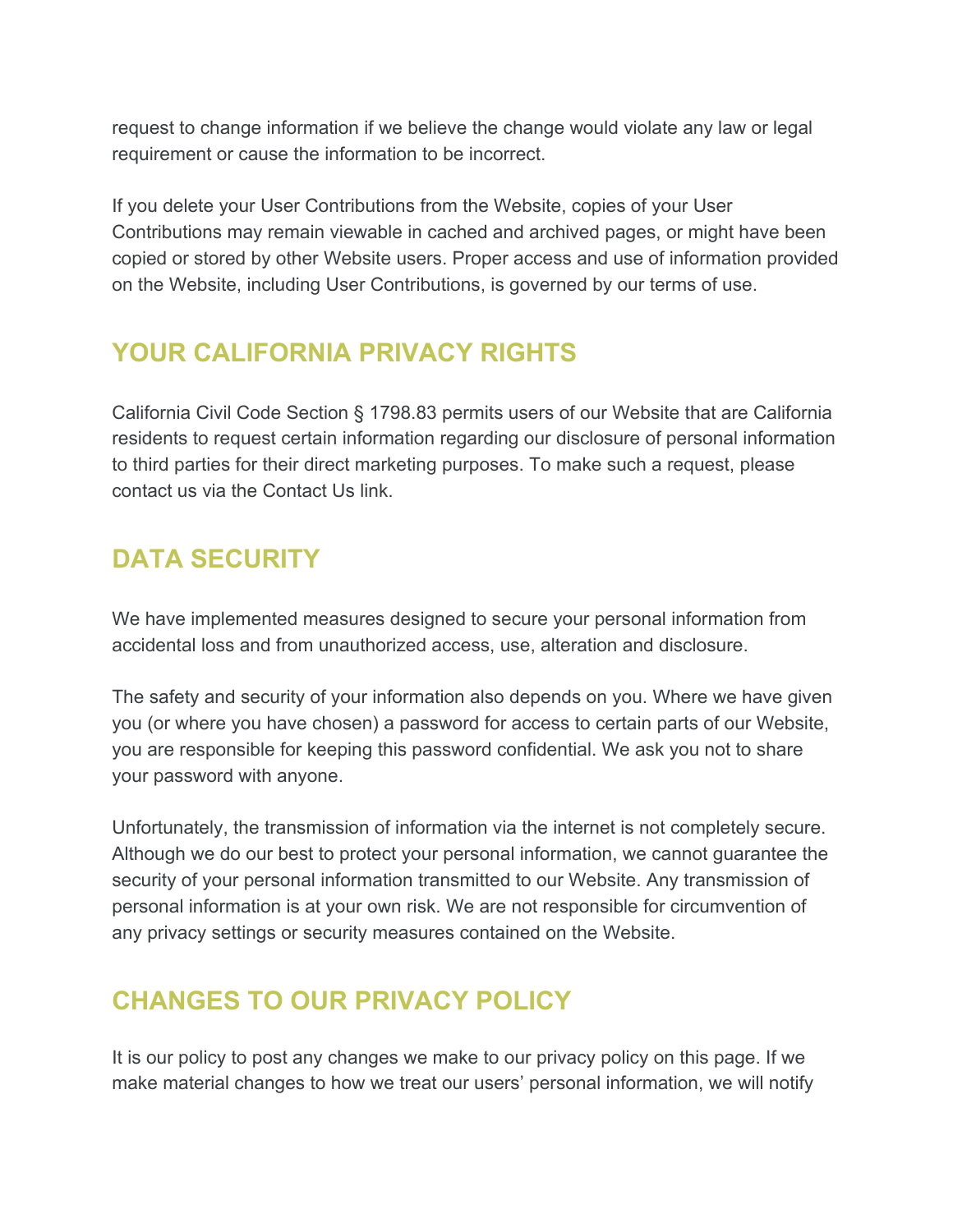request to change information if we believe the change would violate any law or legal requirement or cause the information to be incorrect.

If you delete your User Contributions from the Website, copies of your User Contributions may remain viewable in cached and archived pages, or might have been copied or stored by other Website users. Proper access and use of information provided on the Website, including User Contributions, is governed by our terms of use.

#### **YOUR CALIFORNIA PRIVACY RIGHTS**

California Civil Code Section § 1798.83 permits users of our Website that are California residents to request certain information regarding our disclosure of personal information to third parties for their direct marketing purposes. To make such a request, please contact us via the Contact Us link.

# **DATA SECURITY**

We have implemented measures designed to secure your personal information from accidental loss and from unauthorized access, use, alteration and disclosure.

The safety and security of your information also depends on you. Where we have given you (or where you have chosen) a password for access to certain parts of our Website, you are responsible for keeping this password confidential. We ask you not to share your password with anyone.

Unfortunately, the transmission of information via the internet is not completely secure. Although we do our best to protect your personal information, we cannot guarantee the security of your personal information transmitted to our Website. Any transmission of personal information is at your own risk. We are not responsible for circumvention of any privacy settings or security measures contained on the Website.

## **CHANGES TO OUR PRIVACY POLICY**

It is our policy to post any changes we make to our privacy policy on this page. If we make material changes to how we treat our users' personal information, we will notify